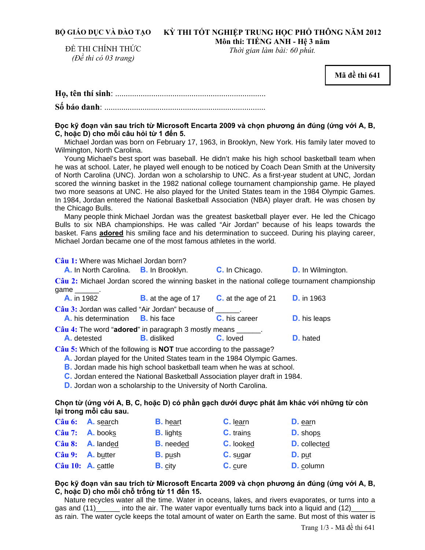## BỘ GIÁO DỤC VÀ ĐÀO TẠO KỲ THI TÔT NGHIỆP TRUNG HỌC PHỐ THỒNG NĂM 2012 **Môn thi: TIẾNG ANH - Hệ 3 năm**

ĐỀ THI CHÍNH THỨC *(Đề thi có 03 trang)* 

*Thời gian làm bài: 60 phút.* 

**Mã đề thi 641** 

### Đọc kỹ đoạn văn sau trích từ Microsoft Encarta 2009 và chọn phương án đúng (ứng với A, B, **C, hoặc D) cho mỗi câu hỏi từ 1 đến 5.**

Michael Jordan was born on February 17, 1963, in Brooklyn, New York. His family later moved to Wilmington, North Carolina.

Young Michael's best sport was baseball. He didn't make his high school basketball team when he was at school. Later, he played well enough to be noticed by Coach Dean Smith at the University of North Carolina (UNC). Jordan won a scholarship to UNC. As a first-year student at UNC, Jordan scored the winning basket in the 1982 national college tournament championship game. He played two more seasons at UNC. He also played for the United States team in the 1984 Olympic Games. In 1984, Jordan entered the National Basketball Association (NBA) player draft. He was chosen by the Chicago Bulls.

Many people think Michael Jordan was the greatest basketball player ever. He led the Chicago Bulls to six NBA championships. He was called "Air Jordan" because of his leaps towards the basket. Fans **adored** his smiling face and his determination to succeed. During his playing career, Michael Jordan became one of the most famous athletes in the world.

**Câu 1:** Where was Michael Jordan born?

**A.** In North Carolina. **B.** In Brooklyn. **C.** In Chicago. **D.** In Wilmington.

**Câu 2:** Michael Jordan scored the winning basket in the national college tournament championship game \_\_\_\_\_\_\_.

| <b>A.</b> in 1982                                                                                                                                                                                                                                                                                                                                                               | <b>B.</b> at the age of 17 $\phantom{0}$ <b>C.</b> at the age of 21 |                 | <b>D.</b> in 1963   |  |
|---------------------------------------------------------------------------------------------------------------------------------------------------------------------------------------------------------------------------------------------------------------------------------------------------------------------------------------------------------------------------------|---------------------------------------------------------------------|-----------------|---------------------|--|
| Câu 3: Jordan was called "Air Jordan" because of Theory                                                                                                                                                                                                                                                                                                                         |                                                                     |                 |                     |  |
| <b>A.</b> his determination <b>B.</b> his face                                                                                                                                                                                                                                                                                                                                  |                                                                     | C. his career   | <b>D.</b> his leaps |  |
| $C\hat{a}u$ 4: The word "adored" in paragraph 3 mostly means $\frac{1}{\sqrt{1-\frac{1}{\sqrt{1-\frac{1}{\sqrt{1-\frac{1}{\sqrt{1-\frac{1}{\sqrt{1-\frac{1}{\sqrt{1-\frac{1}{\sqrt{1-\frac{1}{\sqrt{1-\frac{1}{\sqrt{1-\frac{1}{\sqrt{1-\frac{1}{\sqrt{1-\frac{1}{\sqrt{1-\frac{1}{\sqrt{1-\frac{1}{\sqrt{1-\frac{1}{\sqrt{1-\frac{1}{\sqrt{1-\frac{1}{\sqrt{1-\frac{1}{\sqrt{$ |                                                                     |                 |                     |  |
| <b>A.</b> detested                                                                                                                                                                                                                                                                                                                                                              | <b>B.</b> disliked                                                  | <b>C.</b> loved | <b>D.</b> hated     |  |
|                                                                                                                                                                                                                                                                                                                                                                                 |                                                                     |                 |                     |  |

**Câu 5:** Which of the following is **NOT** true according to the passage?

**A.** Jordan played for the United States team in the 1984 Olympic Games.

**B.** Jordan made his high school basketball team when he was at school.

**C.** Jordan entered the National Basketball Association player draft in 1984.

**D.** Jordan won a scholarship to the University of North Carolina.

## Chon từ (ứng với A, B, C, hoặc D) có phần gạch dưới được phát âm khác với những từ còn **lại trong mỗi câu sau.**

|                                 | $C\hat{a}$ u 6: <b>A.</b> search | <b>B.</b> heart  | C. learn         | D. earn         |
|---------------------------------|----------------------------------|------------------|------------------|-----------------|
| $C\hat{a}$ u 7: <b>A.</b> books |                                  | <b>B.</b> lights | <b>C.</b> trains | <b>D.</b> shops |
|                                 | Câu 8: A. landed                 | <b>B.</b> needed | C. looked        | D. collected    |
| Câu 9: A. butter                |                                  | $B.$ push        | $C.$ sugar       | $D.$ put        |
| Câu 10: A. cattle               |                                  | <b>B.</b> city   | C. cure          | D. column       |

## Đọc kỹ đoạn văn sau trích từ Microsoft Encarta 2009 và chon phương án đúng (ứng với A, B, **C, hoặc D) cho mỗi chỗ trống từ 11 đến 15.**

Nature recycles water all the time. Water in oceans, lakes, and rivers evaporates, or turns into a gas and  $(11)$  \_\_\_\_\_\_ into the air. The water vapor eventually turns back into a liquid and  $(12)$ as rain. The water cycle keeps the total amount of water on Earth the same. But most of this water is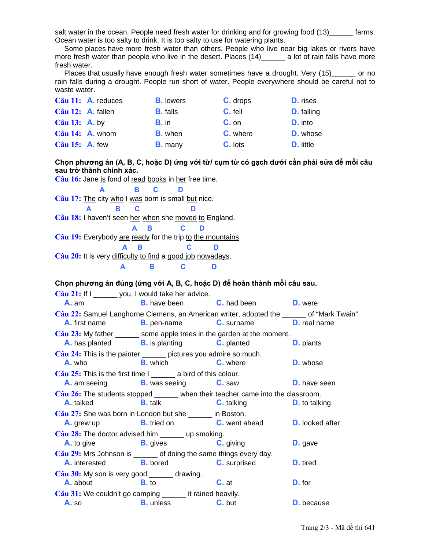salt water in the ocean. People need fresh water for drinking and for growing food (13) farms. Ocean water is too salty to drink. It is too salty to use for watering plants.

Some places have more fresh water than others. People who live near big lakes or rivers have more fresh water than people who live in the desert. Places (14)\_\_\_\_\_\_ a lot of rain falls have more fresh water.

Places that usually have enough fresh water sometimes have a drought. Very (15)\_\_\_\_\_\_ or no rain falls during a drought. People run short of water. People everywhere should be careful not to waste water.

|                   | Câu 11: A. reduces       | <b>B.</b> lowers | C. drops | <b>D.</b> rises   |
|-------------------|--------------------------|------------------|----------|-------------------|
| Câu 12: A. fallen |                          | <b>B.</b> falls  | C. fell  | <b>D.</b> falling |
| Câu $13:$ A. by   |                          | $B.$ in          | $C.$ on  | <b>D.</b> into    |
|                   | $C\hat{a}$ u 14: A. whom | <b>B.</b> when   | C. where | D. whose          |
| Câu 15: A. few    |                          | <b>B.</b> many   | C. lots  | <b>D.</b> little  |

Chon phương án (A, B, C, hoặc D) ứng với từ/ cum từ có gạch dưới cần phải sửa để mỗi câu sau trở thành chính xác.

Câu 16: Jane is fond of read books in her free time. A B  $\mathbf{C}$ D Câu 17: The city who I was born is small but nice. B.  $\mathbf{C}$ A D Câu 18: I haven't seen her when she moved to England. A B  $\mathbf{c}$ D Câu 19: Everybody are ready for the trip to the mountains. B  $\mathbf{C}$ D Δ Câu 20: It is very difficulty to find a good job nowadays.  $\blacktriangle$ **B**  $\mathbf{C}$ D

Chọn phương án đúng (ứng với A, B, C, hoặc D) để hoàn thành mỗi câu sau.

Câu 21: If I \_\_\_\_\_\_ you, I would take her advice.  $A.$  am **B.** have been **C.** had been D. were Câu 22: Samuel Langhorne Clemens, an American writer, adopted the \_\_\_\_\_\_ of "Mark Twain". **A.** first name **B.** pen-name **C.** surname **D.** real name  $C\hat{a}$ u 23: My father \_\_\_\_\_\_\_ some apple trees in the garden at the moment. A. has planted **B.** is planting C. planted **D.** plants Câu 24: This is the painter \_\_\_\_\_\_ pictures you admire so much. **B.** which A. who C. where **D.** whose Câu 25: This is the first time I \_\_\_\_\_\_\_ a bird of this colour. **B.** was seeing C. saw **D.** have seen **A.** am seeing Câu 26: The students stopped when their teacher came into the classroom. **A.** talked **B.** talk **C.** talking **D.** to talking  $C\hat{a}$ u 27: She was born in London but she  $\frac{1}{\sqrt{2}}$  in Boston. A. grew up **B.** tried on C. went ahead **D.** looked after  $\widehat{\text{Cau}}$  28: The doctor advised him up smoking. **B.** gives **C.** giving D. gave A. to give  $C\hat{a}$ u 29: Mrs Johnson is \_\_\_\_\_\_\_\_ of doing the same things every day. **B.** bored A. interested **C.** surprised **D.** tired  $C\hat{a}$ u 30: My son is very good \_\_\_\_\_\_\_ drawing.  $D. for$ A. about **B.** to  $C.$  at Câu 31: We couldn't go camping \_\_\_\_\_\_\_ it rained heavily. **B.** unless D. because  $A.$  so C. but